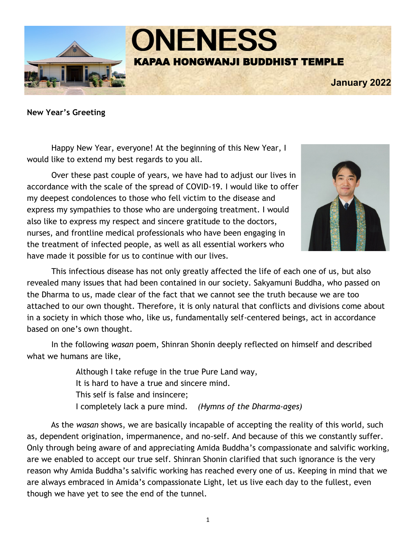

**New Year's Greeting**

Happy New Year, everyone! At the beginning of this New Year, I would like to extend my best regards to you all.

Over these past couple of years, we have had to adjust our lives in accordance with the scale of the spread of COVID-19. I would like to offer my deepest condolences to those who fell victim to the disease and express my sympathies to those who are undergoing treatment. I would also like to express my respect and sincere gratitude to the doctors, nurses, and frontline medical professionals who have been engaging in the treatment of infected people, as well as all essential workers who have made it possible for us to continue with our lives.



This infectious disease has not only greatly affected the life of each one of us, but also revealed many issues that had been contained in our society. Sakyamuni Buddha, who passed on the Dharma to us, made clear of the fact that we cannot see the truth because we are too attached to our own thought. Therefore, it is only natural that conflicts and divisions come about in a society in which those who, like us, fundamentally self-centered beings, act in accordance based on one's own thought.

In the following *wasan* poem, Shinran Shonin deeply reflected on himself and described what we humans are like,

> Although I take refuge in the true Pure Land way, It is hard to have a true and sincere mind. This self is false and insincere; I completely lack a pure mind. *(Hymns of the Dharma-ages)*

As the *wasan* shows, we are basically incapable of accepting the reality of this world, such as, dependent origination, impermanence, and no-self. And because of this we constantly suffer. Only through being aware of and appreciating Amida Buddha's compassionate and salvific working, are we enabled to accept our true self. Shinran Shonin clarified that such ignorance is the very reason why Amida Buddha's salvific working has reached every one of us. Keeping in mind that we are always embraced in Amida's compassionate Light, let us live each day to the fullest, even though we have yet to see the end of the tunnel.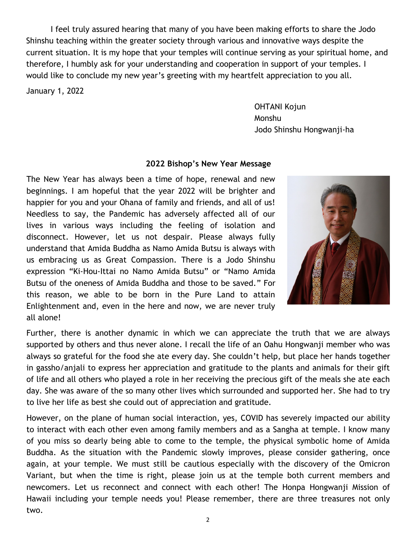I feel truly assured hearing that many of you have been making efforts to share the Jodo Shinshu teaching within the greater society through various and innovative ways despite the current situation. It is my hope that your temples will continue serving as your spiritual home, and therefore, I humbly ask for your understanding and cooperation in support of your temples. I would like to conclude my new year's greeting with my heartfelt appreciation to you all.

January 1, 2022

OHTANI Kojun Monshu Jodo Shinshu Hongwanji-ha

#### **2022 Bishop's New Year Message**

The New Year has always been a time of hope, renewal and new beginnings. I am hopeful that the year 2022 will be brighter and happier for you and your Ohana of family and friends, and all of us! Needless to say, the Pandemic has adversely affected all of our lives in various ways including the feeling of isolation and disconnect. However, let us not despair. Please always fully understand that Amida Buddha as Namo Amida Butsu is always with us embracing us as Great Compassion. There is a Jodo Shinshu expression "Ki-Hou-Ittai no Namo Amida Butsu" or "Namo Amida Butsu of the oneness of Amida Buddha and those to be saved." For this reason, we able to be born in the Pure Land to attain Enlightenment and, even in the here and now, we are never truly all alone!



Further, there is another dynamic in which we can appreciate the truth that we are always supported by others and thus never alone. I recall the life of an Oahu Hongwanji member who was always so grateful for the food she ate every day. She couldn't help, but place her hands together in gassho/anjali to express her appreciation and gratitude to the plants and animals for their gift of life and all others who played a role in her receiving the precious gift of the meals she ate each day. She was aware of the so many other lives which surrounded and supported her. She had to try to live her life as best she could out of appreciation and gratitude.

However, on the plane of human social interaction, yes, COVID has severely impacted our ability to interact with each other even among family members and as a Sangha at temple. I know many of you miss so dearly being able to come to the temple, the physical symbolic home of Amida Buddha. As the situation with the Pandemic slowly improves, please consider gathering, once again, at your temple. We must still be cautious especially with the discovery of the Omicron Variant, but when the time is right, please join us at the temple both current members and newcomers. Let us reconnect and connect with each other! The Honpa Hongwanji Mission of Hawaii including your temple needs you! Please remember, there are three treasures not only two.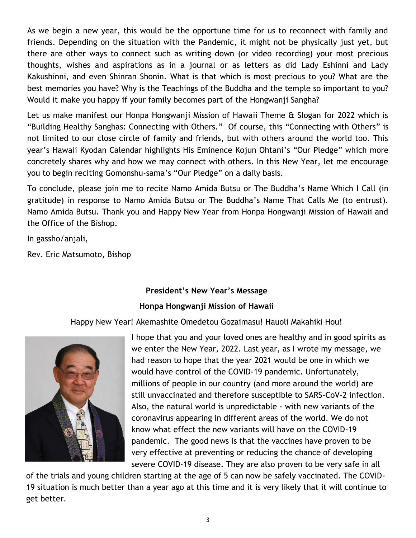As we begin a new year, this would be the opportune time for us to reconnect with family and friends. Depending on the situation with the Pandemic, it might not be physically just yet, but there are other ways to connect such as writing down (or video recording) your most precious thoughts, wishes and aspirations as in a journal or as letters as did Lady Eshinni and Lady Kakushinni, and even Shinran Shonin. What is that which is most precious to you? What are the best memories you have? Why is the Teachings of the Buddha and the temple so important to you? Would it make you happy if your family becomes part of the Hongwanji Sangha?

Let us make manifest our Honpa Hongwanji Mission of Hawaii Theme & Slogan for 2022 which is "Building Healthy Sanghas: Connecting with Others." Of course, this "Connecting with Others" is not limited to our close circle of family and friends, but with others around the world too. This year's Hawaii Kyodan Calendar highlights His Eminence Kojun Ohtani's "Our Pledge" which more concretely shares why and how we may connect with others. In this New Year, let me encourage you to begin reciting Gomonshu-sama's "Our Pledge" on a daily basis.

To conclude, please join me to recite Namo Amida Butsu or The Buddha's Name Which I Call (in gratitude) in response to Namo Amida Butsu or The Buddha's Name That Calls Me (to entrust). Namo Amida Butsu. Thank you and Happy New Year from Honpa Hongwanji Mission of Hawaii and the Office of the Bishop.

In gassho/anjali,

Rev. Eric Matsumoto, Bishop

#### **President's New Year's Message**

#### **Honpa Hongwanji Mission of Hawaii**

Happy New Year! Akemashite Omedetou Gozaimasu! Hauoli Makahiki Hou!



I hope that you and your loved ones are healthy and in good spirits as we enter the New Year, 2022. Last year, as I wrote my message, we had reason to hope that the year 2021 would be one in which we would have control of the COVID-19 pandemic. Unfortunately, millions of people in our country (and more around the world) are still unvaccinated and therefore susceptible to SARS-CoV-2 infection. Also, the natural world is unpredictable - with new variants of the coronavirus appearing in different areas of the world. We do not know what effect the new variants will have on the COVID-19 pandemic. The good news is that the vaccines have proven to be very effective at preventing or reducing the chance of developing severe COVID-19 disease. They are also proven to be very safe in all

of the trials and young children starting at the age of 5 can now be safely vaccinated. The COVID-19 situation is much better than a year ago at this time and it is very likely that it will continue to get better.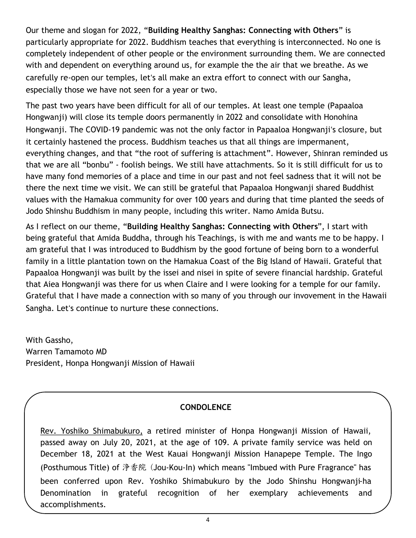Our theme and slogan for 2022, "**Building Healthy Sanghas: Connecting with Others**" is particularly appropriate for 2022. Buddhism teaches that everything is interconnected. No one is completely independent of other people or the environment surrounding them. We are connected with and dependent on everything around us, for example the the air that we breathe. As we carefully re-open our temples, letʻs all make an extra effort to connect with our Sangha, especially those we have not seen for a year or two.

The past two years have been difficult for all of our temples. At least one temple (Papaaloa Hongwanji) will close its temple doors permanently in 2022 and consolidate with Honohina Hongwanji. The COVID-19 pandemic was not the only factor in Papaaloa Hongwanjiʻs closure, but it certainly hastened the process. Buddhism teaches us that all things are impermanent, everything changes, and that "the root of suffering is attachment". However, Shinran reminded us that we are all "bonbu" - foolish beings. We still have attachments. So it is still difficult for us to have many fond memories of a place and time in our past and not feel sadness that it will not be there the next time we visit. We can still be grateful that Papaaloa Hongwanji shared Buddhist values with the Hamakua community for over 100 years and during that time planted the seeds of Jodo Shinshu Buddhism in many people, including this writer. Namo Amida Butsu.

As I reflect on our theme, "**Building Healthy Sanghas: Connecting with Others**", I start with being grateful that Amida Buddha, through his Teachings, is with me and wants me to be happy. I am grateful that I was introduced to Buddhism by the good fortune of being born to a wonderful family in a little plantation town on the Hamakua Coast of the Big Island of Hawaii. Grateful that Papaaloa Hongwanji was built by the issei and nisei in spite of severe financial hardship. Grateful that Aiea Hongwanji was there for us when Claire and I were looking for a temple for our family. Grateful that I have made a connection with so many of you through our invovement in the Hawaii Sangha. Letʻs continue to nurture these connections.

With Gassho, Warren Tamamoto MD President, Honpa Hongwanji Mission of Hawaii

# **CONDOLENCE**

Rev. Yoshiko Shimabukuro, a retired minister of Honpa Hongwanji Mission of Hawaii, passed away on July 20, 2021, at the age of 109. A private family service was held on December 18, 2021 at the West Kauai Hongwanji Mission Hanapepe Temple. The Ingo (Posthumous Title) of 浄香院 (Jou-Kou-In) which means "Imbued with Pure Fragrance" has been conferred upon Rev. Yoshiko Shimabukuro by the Jodo Shinshu Hongwanji-ha Denomination in grateful recognition of her exemplary achievements and accomplishments.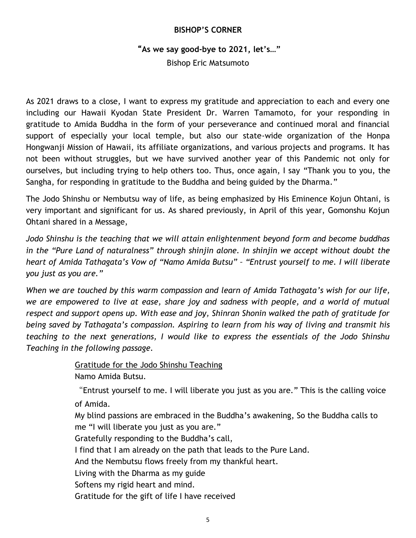#### **BISHOP'S CORNER**

#### "**As we say good-bye to 2021, let's…"**

Bishop Eric Matsumoto

As 2021 draws to a close, I want to express my gratitude and appreciation to each and every one including our Hawaii Kyodan State President Dr. Warren Tamamoto, for your responding in gratitude to Amida Buddha in the form of your perseverance and continued moral and financial support of especially your local temple, but also our state-wide organization of the Honpa Hongwanji Mission of Hawaii, its affiliate organizations, and various projects and programs. It has not been without struggles, but we have survived another year of this Pandemic not only for ourselves, but including trying to help others too. Thus, once again, I say "Thank you to you, the Sangha, for responding in gratitude to the Buddha and being guided by the Dharma."

The Jodo Shinshu or Nembutsu way of life, as being emphasized by His Eminence Kojun Ohtani, is very important and significant for us. As shared previously, in April of this year, Gomonshu Kojun Ohtani shared in a Message,

*Jodo Shinshu is the teaching that we will attain enlightenment beyond form and become buddhas in the "Pure Land of naturalness" through shinjin alone. In shinjin we accept without doubt the heart of Amida Tathagata's Vow of "Namo Amida Butsu" – "Entrust yourself to me. I will liberate you just as you are."*

*When we are touched by this warm compassion and learn of Amida Tathagata's wish for our life, we are empowered to live at ease, share joy and sadness with people, and a world of mutual respect and support opens up. With ease and joy, Shinran Shonin walked the path of gratitude for being saved by Tathagata's compassion. Aspiring to learn from his way of living and transmit his teaching to the next generations, I would like to express the essentials of the Jodo Shinshu Teaching in the following passage.*

Gratitude for the Jodo Shinshu Teaching

Namo Amida Butsu.

"Entrust yourself to me. I will liberate you just as you are." This is the calling voice of Amida.

My blind passions are embraced in the Buddha's awakening, So the Buddha calls to me "I will liberate you just as you are."

Gratefully responding to the Buddha's call,

I find that I am already on the path that leads to the Pure Land.

And the Nembutsu flows freely from my thankful heart.

Living with the Dharma as my guide

Softens my rigid heart and mind.

Gratitude for the gift of life I have received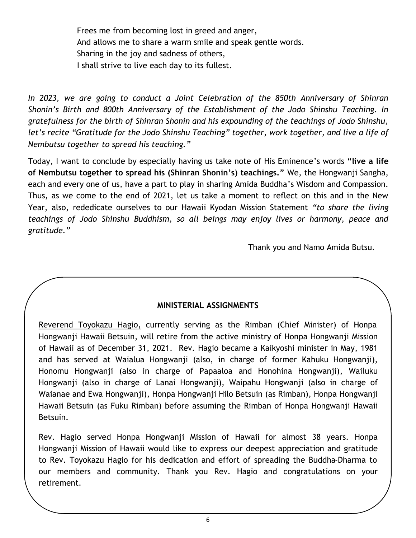Frees me from becoming lost in greed and anger, And allows me to share a warm smile and speak gentle words. Sharing in the joy and sadness of others, I shall strive to live each day to its fullest.

*In 2023, we are going to conduct a Joint Celebration of the 850th Anniversary of Shinran Shonin's Birth and 800th Anniversary of the Establishment of the Jodo Shinshu Teaching. In gratefulness for the birth of Shinran Shonin and his expounding of the teachings of Jodo Shinshu, let's recite "Gratitude for the Jodo Shinshu Teaching" together, work together, and live a life of Nembutsu together to spread his teaching."*

Today, I want to conclude by especially having us take note of His Eminence's words **"live a life of Nembutsu together to spread his (Shinran Shonin's) teachings."** We, the Hongwanji Sangha, each and every one of us, have a part to play in sharing Amida Buddha's Wisdom and Compassion. Thus, as we come to the end of 2021, let us take a moment to reflect on this and in the New Year, also, rededicate ourselves to our Hawaii Kyodan Mission Statement *"to share the living teachings of Jodo Shinshu Buddhism, so all beings may enjoy lives or harmony, peace and gratitude."* 

Thank you and Namo Amida Butsu.

#### **MINISTERIAL ASSIGNMENTS**

Reverend Toyokazu Hagio, currently serving as the Rimban (Chief Minister) of Honpa Hongwanji Hawaii Betsuin, will retire from the active ministry of Honpa Hongwanji Mission of Hawaii as of December 31, 2021. Rev. Hagio became a Kaikyoshi minister in May, 1981 and has served at Waialua Hongwanji (also, in charge of former Kahuku Hongwanji), Honomu Hongwanji (also in charge of Papaaloa and Honohina Hongwanji), Wailuku Hongwanji (also in charge of Lanai Hongwanji), Waipahu Hongwanji (also in charge of Waianae and Ewa Hongwanji), Honpa Hongwanji Hilo Betsuin (as Rimban), Honpa Hongwanji Hawaii Betsuin (as Fuku Rimban) before assuming the Rimban of Honpa Hongwanji Hawaii Betsuin.

Rev. Hagio served Honpa Hongwanji Mission of Hawaii for almost 38 years. Honpa Hongwanji Mission of Hawaii would like to express our deepest appreciation and gratitude to Rev. Toyokazu Hagio for his dedication and effort of spreading the Buddha-Dharma to our members and community. Thank you Rev. Hagio and congratulations on your retirement.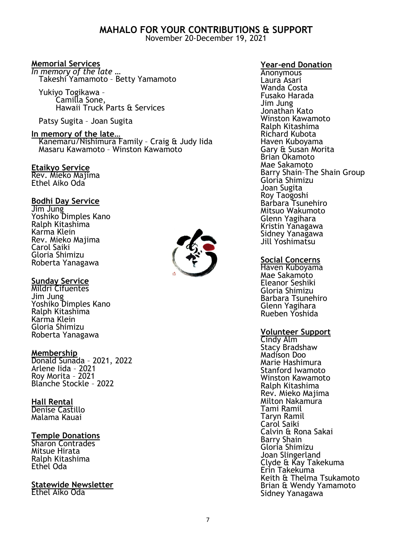# **MAHALO FOR YOUR CONTRIBUTIONS & SUPPORT**

November 20-December 19, 2021

#### **Memorial Services**

*In memory of the late …* Takeshi Yamamoto – Betty Yamamoto

 Yukiyo Togikawa – Camilla Sone, Hawaii Truck Parts & Services

Patsy Sugita – Joan Sugita

#### **In memory of the late…** Kanemaru/Nishimura Family – Craig & Judy Iida Masaru Kawamoto – Winston Kawamoto

#### **Etaikyo Service**

Rev. Mieko Majima Ethel Aiko Oda

#### **Bodhi Day Service**

Jim Jung Yoshiko Dimples Kano Ralph Kitashima Karma Klein Rev. Mieko Majima Carol Saiki Gloria Shimizu Roberta Yanagawa

#### **Sunday Service**

Mildri Cifuentes Jim Jung Yoshiko Dimples Kano Ralph Kitashima Karma Klein Gloria Shimizu Roberta Yanagawa

#### **Membership**

Donald Sunada – 2021, 2022 Arlene Iida – 2021 Roy Morita – 2021 Blanche Stockle – 2022

#### **Hall Rental**

Denise Castillo Malama Kauai

#### **Temple Donations**

Sharon Contrades Mitsue Hirata Ralph Kitashima Ethel Oda

#### **Statewide Newsletter** Ethel Aiko Oda

**Year-end Donation**

**Anonymous** Laura Asari Wanda Costa Fusako Harada Jim Jung Jonathan Kato Winston Kawamoto Ralph Kitashima Richard Kubota Haven Kuboyama Gary & Susan Morita Brian Okamoto Mae Sakamoto Barry Shain–The Shain Group Gloria Shimizu Joan Sugita Roy Taogoshi Barbara Tsunehiro Mitsuo Wakumoto Glenn Yagihara Kristin Yanagawa Sidney Yanagawa Jill Yoshimatsu

#### **Social Concerns**

Haven Kuboyama Mae Sakamoto Eleanor Seshiki Gloria Shimizu Barbara Tsunehiro Glenn Yagihara Rueben Yoshida

#### **Volunteer Support**

Cindy Alm Stacy Bradshaw Madison Doo Marie Hashimura Stanford Iwamoto Winston Kawamoto Ralph Kitashima Rev. Mieko Majima Milton Nakamura Tami Ramil Taryn Ramil Carol Saiki Calvin & Rona Sakai Barry Shain Gloria Shimizu Joan Slingerland Clyde & Kay Takekuma Erin Takekuma Keith & Thelma Tsukamoto Brian & Wendy Yamamoto Sidney Yanagawa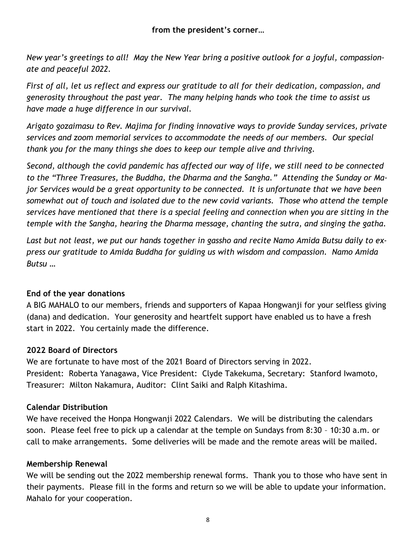*New year's greetings to all! May the New Year bring a positive outlook for a joyful, compassionate and peaceful 2022.*

*First of all, let us reflect and express our gratitude to all for their dedication, compassion, and generosity throughout the past year. The many helping hands who took the time to assist us have made a huge difference in our survival.* 

*Arigato gozaimasu to Rev. Majima for finding innovative ways to provide Sunday services, private services and zoom memorial services to accommodate the needs of our members. Our special thank you for the many things she does to keep our temple alive and thriving.*

*Second, although the covid pandemic has affected our way of life, we still need to be connected to the "Three Treasures, the Buddha, the Dharma and the Sangha." Attending the Sunday or Major Services would be a great opportunity to be connected. It is unfortunate that we have been somewhat out of touch and isolated due to the new covid variants. Those who attend the temple services have mentioned that there is a special feeling and connection when you are sitting in the temple with the Sangha, hearing the Dharma message, chanting the sutra, and singing the gatha.*

*Last but not least, we put our hands together in gassho and recite Namo Amida Butsu daily to express our gratitude to Amida Buddha for guiding us with wisdom and compassion. Namo Amida Butsu …*

# **End of the year donations**

A BIG MAHALO to our members, friends and supporters of Kapaa Hongwanji for your selfless giving (dana) and dedication. Your generosity and heartfelt support have enabled us to have a fresh start in 2022. You certainly made the difference.

# **2022 Board of Directors**

We are fortunate to have most of the 2021 Board of Directors serving in 2022. President: Roberta Yanagawa, Vice President: Clyde Takekuma, Secretary: Stanford Iwamoto, Treasurer: Milton Nakamura, Auditor: Clint Saiki and Ralph Kitashima.

# **Calendar Distribution**

We have received the Honpa Hongwanji 2022 Calendars. We will be distributing the calendars soon. Please feel free to pick up a calendar at the temple on Sundays from 8:30 – 10:30 a.m. or call to make arrangements. Some deliveries will be made and the remote areas will be mailed.

# **Membership Renewal**

We will be sending out the 2022 membership renewal forms. Thank you to those who have sent in their payments. Please fill in the forms and return so we will be able to update your information. Mahalo for your cooperation.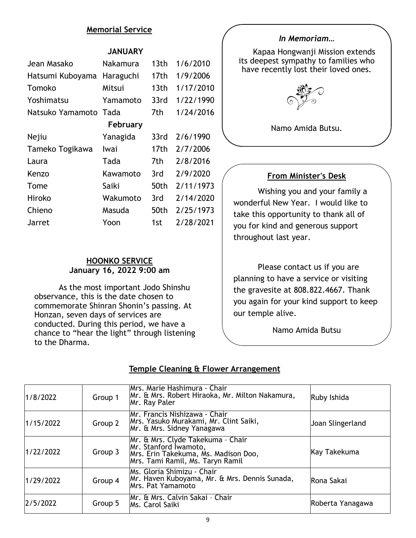#### **Memorial Service**

#### **JANUARY**

| Jean Masako      | Nakamura  | 13 <sub>th</sub> | 1/6/2010  |  |  |
|------------------|-----------|------------------|-----------|--|--|
| Hatsumi Kuboyama | Haraguchi | 17th             | 1/9/2006  |  |  |
| Tomoko           | Mitsui    | 13th             | 1/17/2010 |  |  |
| Yoshimatsu       | Yamamoto  | 33rd             | 1/22/1990 |  |  |
| Natsuko Yamamoto | Tada      | 7th              | 1/24/2016 |  |  |
| February         |           |                  |           |  |  |
| Nejiu            | Yanagida  | 33rd             | 2/6/1990  |  |  |
| Tameko Togikawa  | Iwai      | 17th             | 2/7/2006  |  |  |
| Laura            | Tada      | 7th              | 2/8/2016  |  |  |
| Kenzo            | Kawamoto  | 3rd              | 2/9/2020  |  |  |
| Tome             | Saiki     | 50th             | 2/11/1973 |  |  |
| Hiroko           | Wakumoto  | 3rd              | 2/14/2020 |  |  |
| Chieno           | Masuda    | 50th             | 2/25/1973 |  |  |
| Jarret           | Yoon      | 1st              | 2/28/2021 |  |  |

#### **HOONKO SERVICE January 16, 2022 9:00 am**

As the most important Jodo Shinshu observance, this is the date chosen to commemorate Shinran Shonin's passing. At Honzan, seven days of services are conducted. During this period, we have a chance to "hear the light" through listening to the Dharma.

#### *In Memoriam…*

Kapaa Hongwanji Mission extends its deepest sympathy to families who have recently lost their loved ones.



Namo Amida Butsu.

#### **From Minister's Desk**

Wishing you and your family a wonderful New Year. I would like to take this opportunity to thank all of you for kind and generous support throughout last year.

Please contact us if you are planning to have a service or visiting the gravesite at 808.822.4667. Thank you again for your kind support to keep our temple alive.

Namo Amida Butsu

#### **Temple Cleaning & Flower Arrangement**

| 1/8/2022  | Group 1 | Mrs. Marie Hashimura - Chair<br>Mr. & Mrs. Robert Hiraoka, Mr. Milton Nakamura,<br>Mr. Ray Paler                                       | Ruby Ishida      |
|-----------|---------|----------------------------------------------------------------------------------------------------------------------------------------|------------------|
| 1/15/2022 | Group 2 | Mr. Francis Nishizawa - Chair<br>Mrs. Yasuko Murakami, Mr. Clint Saiki,<br>Mr. & Mrs. Sidney Yanagawa                                  | Joan Slingerland |
| 1/22/2022 | Group 3 | Mr. & Mrs. Clyde Takekuma - Chair<br>Mr. Stanford Iwamoto,<br>Mrs. Erin Takekuma, Ms. Madison Doo,<br>Mrs. Tami Ramil, Ms. Taryn Ramil | Kay Takekuma     |
| 1/29/2022 | Group 4 | Ms. Gloria Shimizu - Chair<br>Mr. Haven Kuboyama, Mr. & Mrs. Dennis Sunada,<br>Mrs. Pat Yamamoto                                       | Rona Sakai       |
| 2/5/2022  | Group 5 | Mr. & Mrs. Calvin Sakai - Chair<br>Ms. Carol Saiki                                                                                     | Roberta Yanagawa |